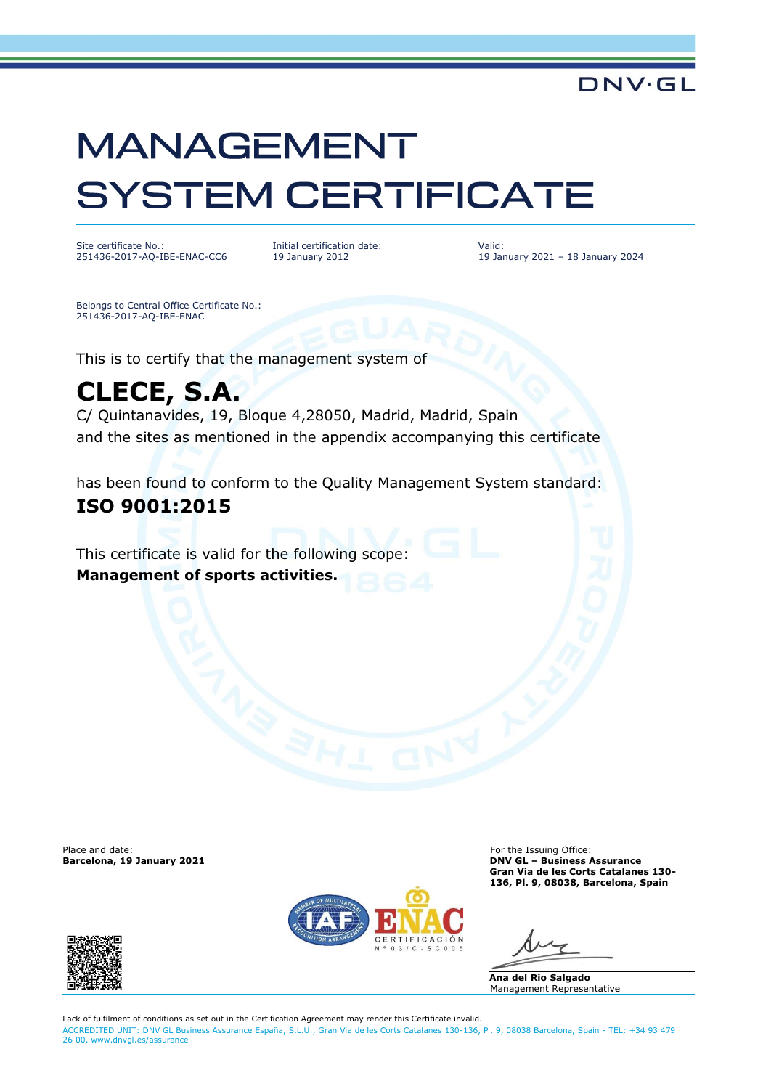# **MANAGEMENT SYSTEM CERTIFICATE**

Site certificate No.: 251436-2017-AQ-IBE-ENAC-CC6 Initial certification date: 19 January 2012

Valid: 19 January 2021 – 18 January 2024

**DNV·GL** 

Belongs to Central Office Certificate No.: 251436-2017-AQ-IBE-ENAC

This is to certify that the management system of

## **CLECE, S.A.**

C/ Quintanavides, 19, Bloque 4,28050, Madrid, Madrid, Spain and the sites as mentioned in the appendix accompanying this certificate

has been found to conform to the Quality Management System standard:

### **ISO 9001:2015**

This certificate is valid for the following scope: **Management of sports activities.**

Place and date: For the Issuing Office: For the Issuing Office: For the Issuing Office: For the Issuing Office:  $\blacksquare$ 



**Barcelona, 19 January 2021 DNV GL – Business Assurance Gran Via de les Corts Catalanes 130- 136, Pl. 9, 08038, Barcelona, Spain**

**Ana del Rio Salgado** Management Representative